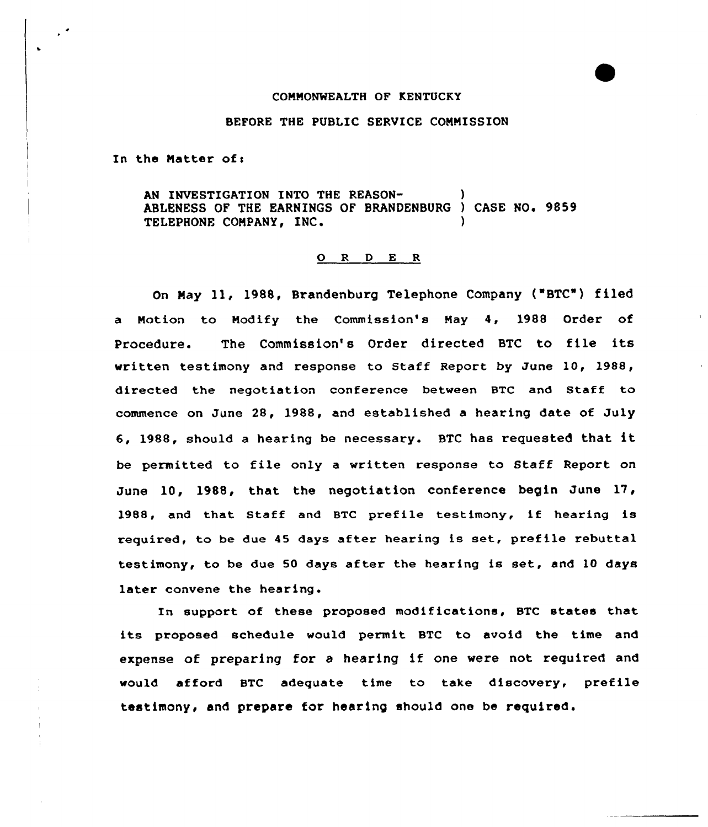#### COMMONWEALTH OF KENTUCKY

#### BEFORE THE PUBLIC SERVICE CONNISSION

In the Natter ofi

AN INVESTIGATION INTO THE REASON-ABLENESS OF THE EARNINGS OF BRANDENBURG ) CASE NO. 9859 TELEPHONE COMPANY, INC.

## 0 <sup>R</sup> <sup>D</sup> <sup>E</sup> <sup>R</sup>

On Nay ll, 1988, Brandenburg Telephone Company ("BTC ) filed a Motion to Modify the Commission's Nay 4, 1988 Order of Procedure. The Commission's Order directed BTC to file its written testimony and response to Staff Report by June 10, 1988, directed the negotiation conference between BTC and Staff to commence on June 28, 1988, and established a hearing date of July 6, 1988, should <sup>a</sup> hearing be necessary. BTC has requested that it be permitted to file only <sup>a</sup> written response to Staff Report on June 10, 1988, that the negotiation conference begin June 17, 1988, and that Staff and BTC prefile testimony, if hearing is required, to be due 45 days after hearing is set, prefile rebuttal testimony, to be due 50 days after the hearing is set, and 10 days later convene the hearing.

In support of these proposed modifications, BTC states that its proposed schedule would permit BTC to avoid the time and expense of preparing for <sup>a</sup> hearing if one were not required and would afford BTC adequate time to take discovery, prefile testimony, and prepare for hearing should one be required.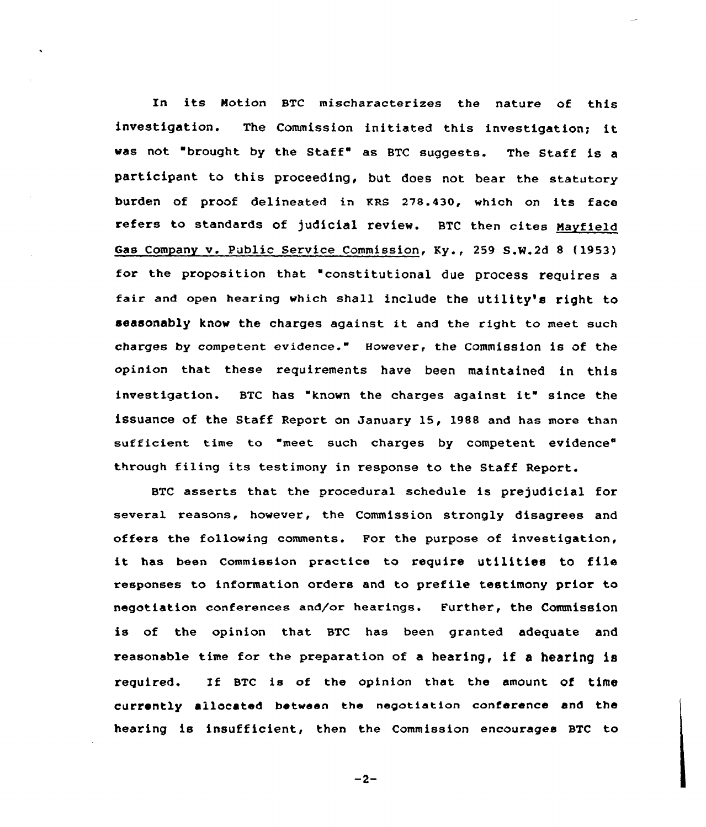In its Notion BTC mischaracterizes the nature of this investigation. The Commission initiated this investigation; it was not "brought by the Staff" as BTC suggests. The Staff is a participant to this proceeding, but does not bear the statutory burden of proof delineated in KRS 278.430, which on its face refers to standards of judicial review. BTC then cites Mayfield Gas Company v. Public Service Commission, Ky., 259 S.W.2d 8 (1953) for the proposition that "constitutional due process requires <sup>a</sup> fair and open hearing which shall include the utility's right to seasonably know the charges against it and the right to meet such charges by competent evidence. However, the Commission is of the opinion that these requirements have been maintained in this investigation. BTC has "known the charges against it" since the issuance of the Staff Report on January 15, 1988 and has more than sufficient time to "meet such charges by competent evidence" filing its testimony in response to the Staff Report.

BTC asserts that the procedural schedule is prejudicial for several reasons, however, the Commission strongly disagrees and offers the following comments. For the purpose of investigation, it has been commission practice to require utilities to file responses to information orders and to prefile testimony prior to negotiation conferences and/or hearings. Further, the Commission is of the opinion that BTC has been granted adequate and reasonable time for the preparation of <sup>a</sup> hearing, if <sup>a</sup> hearing ls required. If BTC is of the opinion that the amount of time currently allocated between the negotiation conference and the hearing is insufficient, then the Commission encourages BTC to

 $-2-$